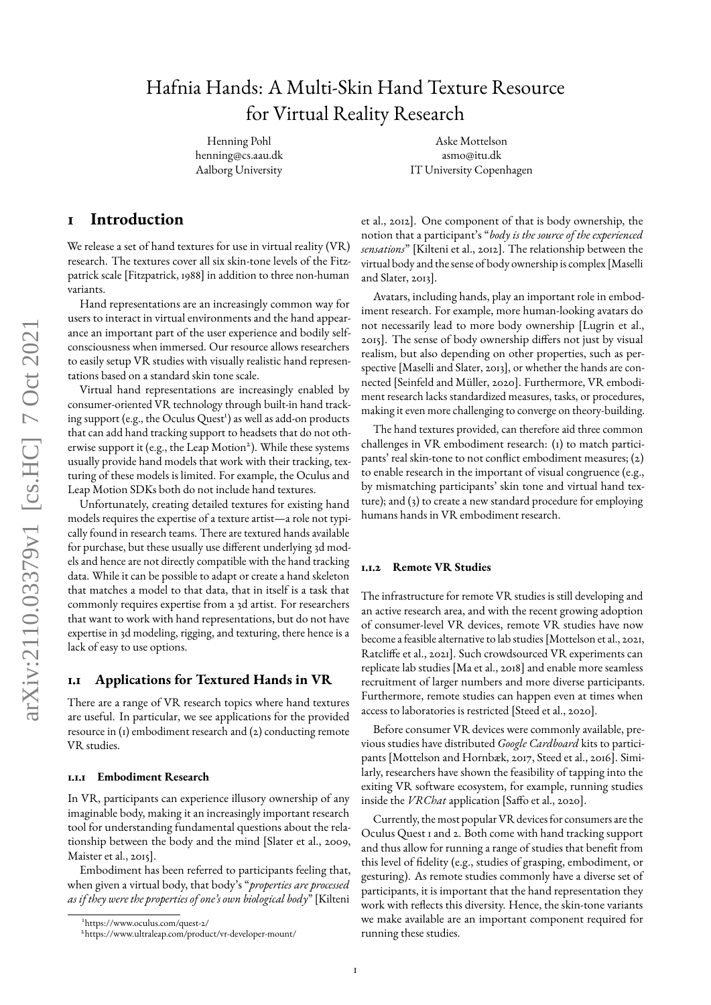# Hafnia Hands: A Multi-Skin Hand Texture Resource for Virtual Reality Research

Henning Pohl henning@cs.aau.dk Aalborg University

Aske Mottelson asmo@itu.dk IT University Copenhagen

### **1 Introduction**

We release a set of hand textures for use in virtual reality (VR) research. The textures cover all six skin-tone levels of the Fitzpatrick scale [\[Fitzpatrick,](#page-3-0) [1988\]](#page-3-0) in addition to three non-human variants.

Hand representations are an increasingly common way for users to interact in virtual environments and the hand appearance an important part of the user experience and bodily selfconsciousness when immersed. Our resource allows researchers to easily setup VR studies with visually realistic hand representations based on a standard skin tone scale.

Virtual hand representations are increasingly enabled by consumer-oriented VR technology through built-in hand track-ing support (e.g., the Oculus Quest<sup>1</sup>[\)](#page-0-0) as well as add-on products that can add hand tracking support to headsets that do not oth-erwise support it (e.g., the Leap Motion<sup>[2](#page-0-1)</sup>). While these systems usually provide hand models that work with their tracking, texturing of these models is limited. For example, the Oculus and Leap Motion SDKs both do not include hand textures.

Unfortunately, creating detailed textures for existing hand models requires the expertise of a texture artist—a role not typically found in research teams. There are textured hands available for purchase, but these usually use different underlying 3d models and hence are not directly compatible with the hand tracking data. While it can be possible to adapt or create a hand skeleton that matches a model to that data, that in itself is a task that commonly requires expertise from a 3d artist. For researchers that want to work with hand representations, but do not have expertise in 3d modeling, rigging, and texturing, there hence is a lack of easy to use options.

#### **1.1 Applications for Textured Hands in VR**

There are a range of VR research topics where hand textures are useful. In particular, we see applications for the provided resource in (1) embodiment research and (2) conducting remote VR studies.

#### **1.1.1 Embodiment Research**

In VR, participants can experience illusory ownership of any imaginable body, making it an increasingly important research tool for understanding fundamental questions about the relationship between the body and the mind [\[Slater et al.,](#page-4-0) [2009,](#page-4-0) [Maister et al.,](#page-3-1) [2015\]](#page-3-1).

Embodiment has been referred to participants feeling that, when given a virtual body, that body's "*properties are processed as if they were the properties of one's own biological body*" [\[Kilteni](#page-3-2) [et al.,](#page-3-2) [2012\]](#page-3-2). One component of that is body ownership, the notion that a participant's "*body is the source of the experienced sensations*" [\[Kilteni et al.,](#page-3-2) [2012\]](#page-3-2). The relationship between the virtual body and the sense of body ownership is complex [\[Maselli](#page-3-3) [and Slater,](#page-3-3) [2013\]](#page-3-3).

Avatars, including hands, play an important role in embodiment research. For example, more human-looking avatars do not necessarily lead to more body ownership [\[Lugrin et al.,](#page-3-4) [2015\]](#page-3-4). The sense of body ownership differs not just by visual realism, but also depending on other properties, such as perspective [\[Maselli and Slater,](#page-3-3) [2013\]](#page-3-3), or whether the hands are connected [\[Seinfeld and Müller,](#page-4-1) [2020\]](#page-4-1). Furthermore, VR embodiment research lacks standardized measures, tasks, or procedures, making it even more challenging to converge on theory-building.

The hand textures provided, can therefore aid three common challenges in VR embodiment research: (1) to match participants' real skin-tone to not conflict embodiment measures; (2) to enable research in the important of visual congruence (e.g., by mismatching participants' skin tone and virtual hand texture); and (3) to create a new standard procedure for employing humans hands in VR embodiment research.

#### **1.1.2 Remote VR Studies**

The infrastructure for remote VR studies is still developing and an active research area, and with the recent growing adoption of consumer-level VR devices, remote VR studies have now become a feasible alternative to lab studies [\[Mottelson et al.,](#page-3-5) [2021,](#page-3-5) Ratcliffe et al., [2021\]](#page-4-2). Such crowdsourced VR experiments can replicate lab studies [\[Ma et al.,](#page-3-6) [2018\]](#page-3-6) and enable more seamless recruitment of larger numbers and more diverse participants. Furthermore, remote studies can happen even at times when access to laboratories is restricted [\[Steed et al.,](#page-4-3) [2020\]](#page-4-3).

Before consumer VR devices were commonly available, previous studies have distributed *Google Cardboard* kits to participants [\[Mottelson and Hornbæk,](#page-3-7) [2017,](#page-3-7) [Steed et al.,](#page-4-4) [2016\]](#page-4-4). Similarly, researchers have shown the feasibility of tapping into the exiting VR software ecosystem, for example, running studies inside the *VRChat* application [Saffo et al., [2020\]](#page-4-5).

Currently, the most popular VR devices for consumers are the Oculus Quest 1 and 2. Both come with hand tracking support and thus allow for running a range of studies that benefit from this level of delity (e.g., studies of grasping, embodiment, or gesturing). As remote studies commonly have a diverse set of participants, it is important that the hand representation they work with reflects this diversity. Hence, the skin-tone variants we make available are an important component required for running these studies.

<span id="page-0-0"></span><sup>1</sup>[https://www.oculus.com/quest-2/](#page-3-2)

<span id="page-0-1"></span><sup>2</sup>[https://www.ultraleap.com/product/vr-developer-mount/](#page-3-2)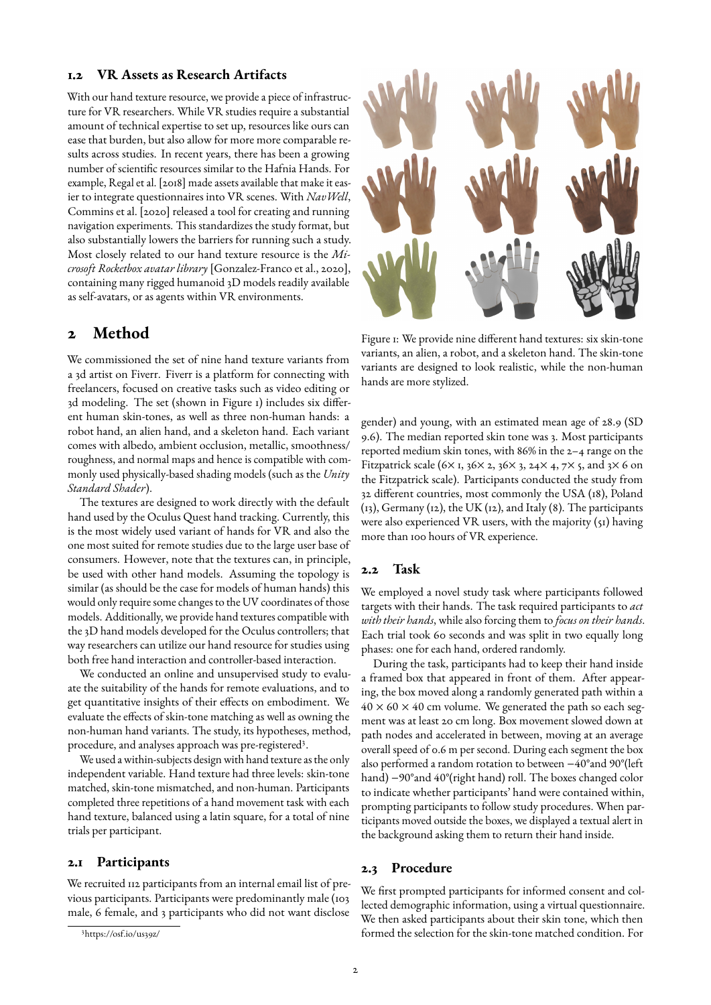#### **1.2 VR Assets as Research Artifacts**

With our hand texture resource, we provide a piece of infrastructure for VR researchers. While VR studies require a substantial amount of technical expertise to set up, resources like ours can ease that burden, but also allow for more more comparable results across studies. In recent years, there has been a growing number of scientific resources similar to the Hafnia Hands. For example, [Regal et al.](#page-4-6) [\[2018\]](#page-4-6) made assets available that make it easier to integrate questionnaires into VR scenes. With *NavWell*, [Commins et al.](#page-3-8) [\[2020\]](#page-3-8) released a tool for creating and running navigation experiments. This standardizes the study format, but also substantially lowers the barriers for running such a study. Most closely related to our hand texture resource is the *Microsoft Rocketbox avatar library* [\[Gonzalez-Franco et al.,](#page-3-9) [2020\]](#page-3-9), containing many rigged humanoid 3D models readily available as self-avatars, or as agents within VR environments.

## **2 Method**

We commissioned the set of nine hand texture variants from a 3d artist on Fiverr. Fiverr is a platform for connecting with freelancers, focused on creative tasks such as video editing or 3d modeling. The set (shown in Figure [1\)](#page-1-0) includes six different human skin-tones, as well as three non-human hands: a robot hand, an alien hand, and a skeleton hand. Each variant comes with albedo, ambient occlusion, metallic, smoothness/ roughness, and normal maps and hence is compatible with commonly used physically-based shading models (such as the *Unity Standard Shader*).

The textures are designed to work directly with the default hand used by the Oculus Quest hand tracking. Currently, this is the most widely used variant of hands for VR and also the one most suited for remote studies due to the large user base of consumers. However, note that the textures can, in principle, be used with other hand models. Assuming the topology is similar (as should be the case for models of human hands) this would only require some changes to the UV coordinates of those models. Additionally, we provide hand textures compatible with the 3D hand models developed for the Oculus controllers; that way researchers can utilize our hand resource for studies using both free hand interaction and controller-based interaction.

We conducted an online and unsupervised study to evaluate the suitability of the hands for remote evaluations, and to get quantitative insights of their effects on embodiment. We evaluate the effects of skin-tone matching as well as owning the non-human hand variants. The study, its hypotheses, method, procedure, and analyses approach was pre-registered<sup>[3](#page-1-1)</sup>.

We used a within-subjects design with hand texture as the only independent variable. Hand texture had three levels: skin-tone matched, skin-tone mismatched, and non-human. Participants completed three repetitions of a hand movement task with each hand texture, balanced using a latin square, for a total of nine trials per participant.

#### **2.1 Participants**

We recruited 112 participants from an internal email list of previous participants. Participants were predominantly male (103 male, 6 female, and 3 participants who did not want disclose

<span id="page-1-0"></span>

Figure 1: We provide nine different hand textures: six skin-tone variants, an alien, a robot, and a skeleton hand. The skin-tone variants are designed to look realistic, while the non-human hands are more stylized.

gender) and young, with an estimated mean age of 28.9 (SD 9.6). The median reported skin tone was 3. Most participants reported medium skin tones, with 86% in the 2–4 range on the Fitzpatrick scale (6 $\times$  1, 36 $\times$  2, 36 $\times$  3, 24 $\times$  4, 7 $\times$  5, and 3 $\times$  6 on the Fitzpatrick scale). Participants conducted the study from 32 different countries, most commonly the USA (18), Poland (13), Germany (12), the UK (12), and Italy (8). The participants were also experienced VR users, with the majority (51) having more than 100 hours of VR experience.

#### **2.2 Task**

We employed a novel study task where participants followed targets with their hands. The task required participants to *act with their hands*, while also forcing them to *focus on their hands*. Each trial took 60 seconds and was split in two equally long phases: one for each hand, ordered randomly.

During the task, participants had to keep their hand inside a framed box that appeared in front of them. After appearing, the box moved along a randomly generated path within a  $40 \times 60 \times 40$  cm volume. We generated the path so each segment was at least 20 cm long. Box movement slowed down at path nodes and accelerated in between, moving at an average overall speed of 0.6 m per second. During each segment the box also performed a random rotation to between −40°and 90°(left hand) −90°and 40°(right hand) roll. The boxes changed color to indicate whether participants' hand were contained within, prompting participants to follow study procedures. When participants moved outside the boxes, we displayed a textual alert in the background asking them to return their hand inside.

#### **2.3 Procedure**

We first prompted participants for informed consent and collected demographic information, using a virtual questionnaire. We then asked participants about their skin tone, which then formed the selection for the skin-tone matched condition. For

<span id="page-1-1"></span><sup>3</sup><https://osf.io/us39z/>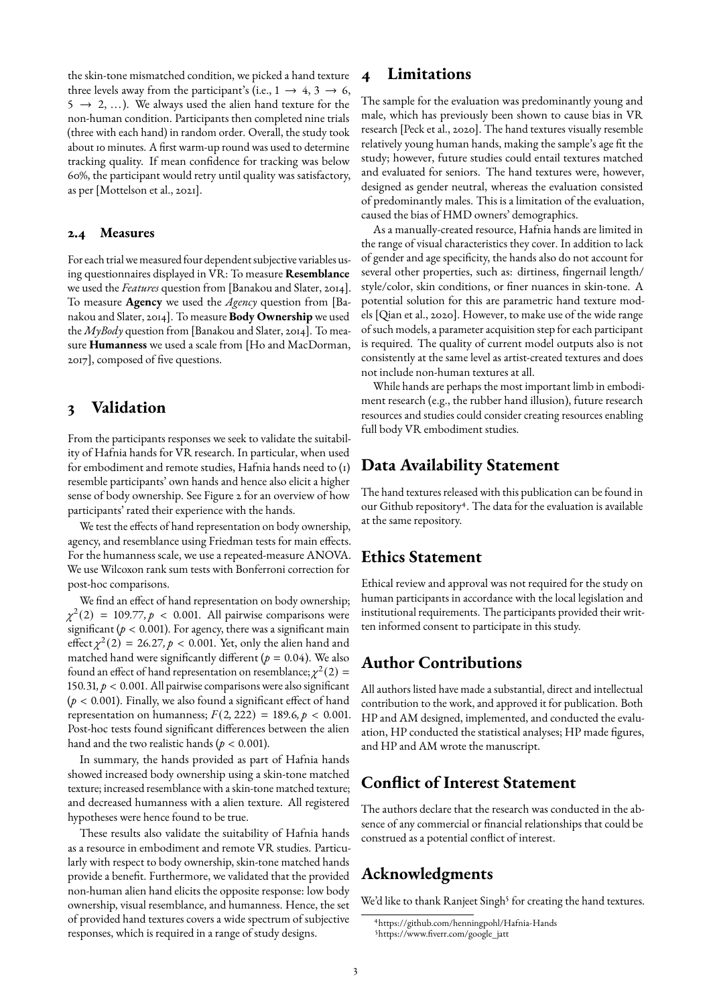the skin-tone mismatched condition, we picked a hand texture three levels away from the participant's (i.e.,  $1 \rightarrow 4, 3 \rightarrow 6$ ,  $5 \rightarrow 2, \ldots$ ). We always used the alien hand texture for the non-human condition. Participants then completed nine trials (three with each hand) in random order. Overall, the study took about 10 minutes. A first warm-up round was used to determine tracking quality. If mean confidence for tracking was below 60%, the participant would retry until quality was satisfactory, as per [\[Mottelson et al.,](#page-3-5) [2021\]](#page-3-5).

#### **2.4 Measures**

For each trial we measured four dependent subjective variables using questionnaires displayed in VR: To measure **Resemblance** we used the *Features* question from [\[Banakou and Slater,](#page-3-10) [2014\]](#page-3-10). To measure **Agency** we used the *Agency* question from [\[Ba](#page-3-10)[nakou and Slater,](#page-3-10) [2014\]](#page-3-10). To measure **Body Ownership** we used the *MyBody* question from [\[Banakou and Slater,](#page-3-10) [2014\]](#page-3-10). To measure **Humanness** we used a scale from [\[Ho and MacDorman,](#page-3-11) [2017\]](#page-3-11), composed of five questions.

### **3 Validation**

From the participants responses we seek to validate the suitability of Hafnia hands for VR research. In particular, when used for embodiment and remote studies, Hafnia hands need to (1) resemble participants' own hands and hence also elicit a higher sense of body ownership. See Figure [2](#page-3-12) for an overview of how participants' rated their experience with the hands.

We test the effects of hand representation on body ownership, agency, and resemblance using Friedman tests for main effects. For the humanness scale, we use a repeated-measure ANOVA. We use Wilcoxon rank sum tests with Bonferroni correction for post-hoc comparisons.

We find an effect of hand representation on body ownership; *χ* 2 (2) = 109*.*77*, p <* 0*.*001. All pairwise comparisons were significant ( $p < 0.001$ ). For agency, there was a significant main effect  $\chi^2(2) = 26.27, p < 0.001$ . Yet, only the alien hand and matched hand were significantly different ( $p = 0.04$ ). We also found an effect of hand representation on resemblance;  $\chi^2(2) =$ 150*.*31*, p <* 0*.*001. All pairwise comparisons were also signicant  $(p < 0.001)$ . Finally, we also found a significant effect of hand representation on humanness;  $F(2, 222) = 189.6, p < 0.001$ . Post-hoc tests found significant differences between the alien hand and the two realistic hands (*p <* 0*.*001).

In summary, the hands provided as part of Hafnia hands showed increased body ownership using a skin-tone matched texture; increased resemblance with a skin-tone matched texture; and decreased humanness with a alien texture. All registered hypotheses were hence found to be true.

These results also validate the suitability of Hafnia hands as a resource in embodiment and remote VR studies. Particularly with respect to body ownership, skin-tone matched hands provide a benefit. Furthermore, we validated that the provided non-human alien hand elicits the opposite response: low body ownership, visual resemblance, and humanness. Hence, the set of provided hand textures covers a wide spectrum of subjective responses, which is required in a range of study designs.

## **4 Limitations**

The sample for the evaluation was predominantly young and male, which has previously been shown to cause bias in VR research [\[Peck et al.,](#page-3-13) [2020\]](#page-3-13). The hand textures visually resemble relatively young human hands, making the sample's age fit the study; however, future studies could entail textures matched and evaluated for seniors. The hand textures were, however, designed as gender neutral, whereas the evaluation consisted of predominantly males. This is a limitation of the evaluation, caused the bias of HMD owners' demographics.

As a manually-created resource, Hafnia hands are limited in the range of visual characteristics they cover. In addition to lack of gender and age specificity, the hands also do not account for several other properties, such as: dirtiness, fingernail length/ style/color, skin conditions, or finer nuances in skin-tone. A potential solution for this are parametric hand texture models [\[Qian et al.,](#page-4-7) [2020\]](#page-4-7). However, to make use of the wide range of such models, a parameter acquisition step for each participant is required. The quality of current model outputs also is not consistently at the same level as artist-created textures and does not include non-human textures at all.

While hands are perhaps the most important limb in embodiment research (e.g., the rubber hand illusion), future research resources and studies could consider creating resources enabling full body VR embodiment studies.

## **Data Availability Statement**

The hand textures released with this publication can be found in our Github repository<sup>[4](#page-2-0)</sup>. The data for the evaluation is available at the same repository.

## **Ethics Statement**

Ethical review and approval was not required for the study on human participants in accordance with the local legislation and institutional requirements. The participants provided their written informed consent to participate in this study.

## **Author Contributions**

All authors listed have made a substantial, direct and intellectual contribution to the work, and approved it for publication. Both HP and AM designed, implemented, and conducted the evaluation, HP conducted the statistical analyses; HP made figures, and HP and AM wrote the manuscript.

## **Conflict of Interest Statement**

The authors declare that the research was conducted in the absence of any commercial or financial relationships that could be construed as a potential conflict of interest.

## **Acknowledgments**

We'd like to thank Ranjeet Singh<sup>[5](#page-2-1)</sup> for creating the hand textures.

<span id="page-2-1"></span><span id="page-2-0"></span><sup>4</sup><https://github.com/henningpohl/Hafnia-Hands> 5https://www.fiverr.com/google\_jatt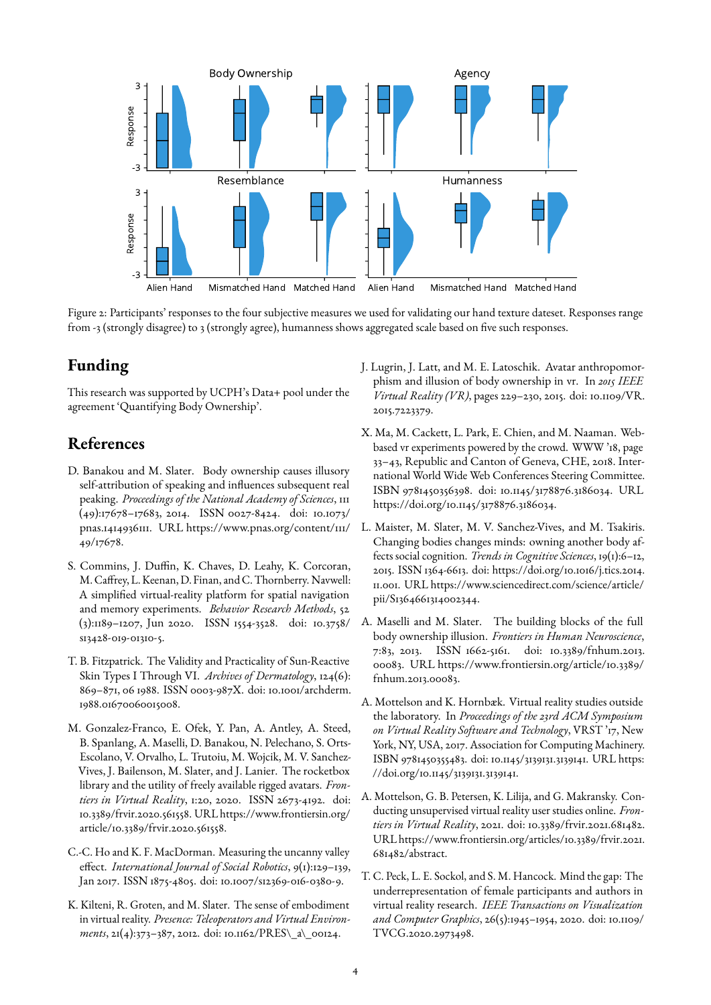<span id="page-3-12"></span>

Figure 2: Participants' responses to the four subjective measures we used for validating our hand texture dateset. Responses range from -3 (strongly disagree) to 3 (strongly agree), humanness shows aggregated scale based on five such responses.

## **Funding**

This research was supported by UCPH's Data+ pool under the agreement 'Quantifying Body Ownership'.

## **References**

- <span id="page-3-10"></span>D. Banakou and M. Slater. Body ownership causes illusory self-attribution of speaking and influences subsequent real peaking. *Proceedings of the National Academy of Sciences*, 111 (49):17678–17683, 2014. ISSN 0027-8424. doi: 10.1073/ pnas.1414936111. URL [https://www.pnas.org/content/111/](https://www.pnas.org/content/111/49/17678) [49/17678.](https://www.pnas.org/content/111/49/17678)
- <span id="page-3-8"></span>S. Commins, J. Duffin, K. Chaves, D. Leahy, K. Corcoran, M. Caffrey, L. Keenan, D. Finan, and C. Thornberry. Navwell: A simplified virtual-reality platform for spatial navigation and memory experiments. *Behavior Research Methods*, 52 (3):1189–1207, Jun 2020. ISSN 1554-3528. doi: 10.3758/ s13428-019-01310-5.
- <span id="page-3-0"></span>T. B. Fitzpatrick. The Validity and Practicality of Sun-Reactive Skin Types I Through VI. *Archives of Dermatology*, 124(6): 869–871, 06 1988. ISSN 0003-987X. doi: 10.1001/archderm. 1988.01670060015008.
- <span id="page-3-9"></span>M. Gonzalez-Franco, E. Ofek, Y. Pan, A. Antley, A. Steed, B. Spanlang, A. Maselli, D. Banakou, N. Pelechano, S. Orts-Escolano, V. Orvalho, L. Trutoiu, M. Wojcik, M. V. Sanchez-Vives, J. Bailenson, M. Slater, and J. Lanier. The rocketbox library and the utility of freely available rigged avatars. *Frontiers in Virtual Reality*, 1:20, 2020. ISSN 2673-4192. doi: 10.3389/frvir.2020.561558. URL [https://www.frontiersin.org/](https://www.frontiersin.org/article/10.3389/frvir.2020.561558) [article/10.3389/frvir.2020.561558.](https://www.frontiersin.org/article/10.3389/frvir.2020.561558)
- <span id="page-3-11"></span>C.-C. Ho and K. F. MacDorman. Measuring the uncanny valley effect. *International Journal of Social Robotics*, 9(1):129-139, Jan 2017. ISSN 1875-4805. doi: 10.1007/s12369-016-0380-9.
- <span id="page-3-2"></span>K. Kilteni, R. Groten, and M. Slater. The sense of embodiment in virtual reality. *Presence: Teleoperators and Virtual Environments*, 21(4):373–387, 2012. doi: 10.1162/PRES\\_a\\_00124.
- <span id="page-3-4"></span>J. Lugrin, J. Latt, and M. E. Latoschik. Avatar anthropomorphism and illusion of body ownership in vr. In *2015 IEEE Virtual Reality (VR)*, pages 229–230, 2015. doi: 10.1109/VR. 2015.7223379.
- <span id="page-3-6"></span>X. Ma, M. Cackett, L. Park, E. Chien, and M. Naaman. Webbased vr experiments powered by the crowd. WWW '18, page 33–43, Republic and Canton of Geneva, CHE, 2018. International World Wide Web Conferences Steering Committee. ISBN 9781450356398. doi: 10.1145/3178876.3186034. URL [https://doi.org/10.1145/3178876.3186034.](https://doi.org/10.1145/3178876.3186034)
- <span id="page-3-1"></span>L. Maister, M. Slater, M. V. Sanchez-Vives, and M. Tsakiris. Changing bodies changes minds: owning another body affects social cognition. *Trends in Cognitive Sciences*, 19(1):6–12, 2015. ISSN 1364-6613. doi: https://doi.org/10.1016/j.tics.2014. 11.001. URL [https://www.sciencedirect.com/science/article/](https://www.sciencedirect.com/science/article/pii/S1364661314002344) [pii/S1364661314002344.](https://www.sciencedirect.com/science/article/pii/S1364661314002344)
- <span id="page-3-3"></span>A. Maselli and M. Slater. The building blocks of the full body ownership illusion. *Frontiers in Human Neuroscience*, 7:83, 2013. ISSN 1662-5161. doi: 10.3389/fnhum.2013. 00083. URL [https://www.frontiersin.org/article/10.3389/](https://www.frontiersin.org/article/10.3389/fnhum.2013.00083) [fnhum.2013.00083.](https://www.frontiersin.org/article/10.3389/fnhum.2013.00083)
- <span id="page-3-7"></span>A. Mottelson and K. Hornbæk. Virtual reality studies outside the laboratory. In *Proceedings of the 23rd ACM Symposium on Virtual Reality Software and Technology*, VRST '17, New York, NY, USA, 2017. Association for Computing Machinery. ISBN 9781450355483. doi: 10.1145/3139131.3139141. URL [https:](https://doi.org/10.1145/3139131.3139141) [//doi.org/10.1145/3139131.3139141.](https://doi.org/10.1145/3139131.3139141)
- <span id="page-3-5"></span>A. Mottelson, G. B. Petersen, K. Lilija, and G. Makransky. Conducting unsupervised virtual reality user studies online. *Frontiers in Virtual Reality*, 2021. doi: 10.3389/frvir.2021.681482. URL[https://www.frontiersin.org/articles/10.3389/frvir.2021.](https://www.frontiersin.org/articles/10.3389/frvir.2021.681482/abstract) [681482/abstract.](https://www.frontiersin.org/articles/10.3389/frvir.2021.681482/abstract)
- <span id="page-3-13"></span>T. C. Peck, L. E. Sockol, and S. M. Hancock. Mind the gap: The underrepresentation of female participants and authors in virtual reality research. *IEEE Transactions on Visualization and Computer Graphics*, 26(5):1945–1954, 2020. doi: 10.1109/ TVCG.2020.2973498.